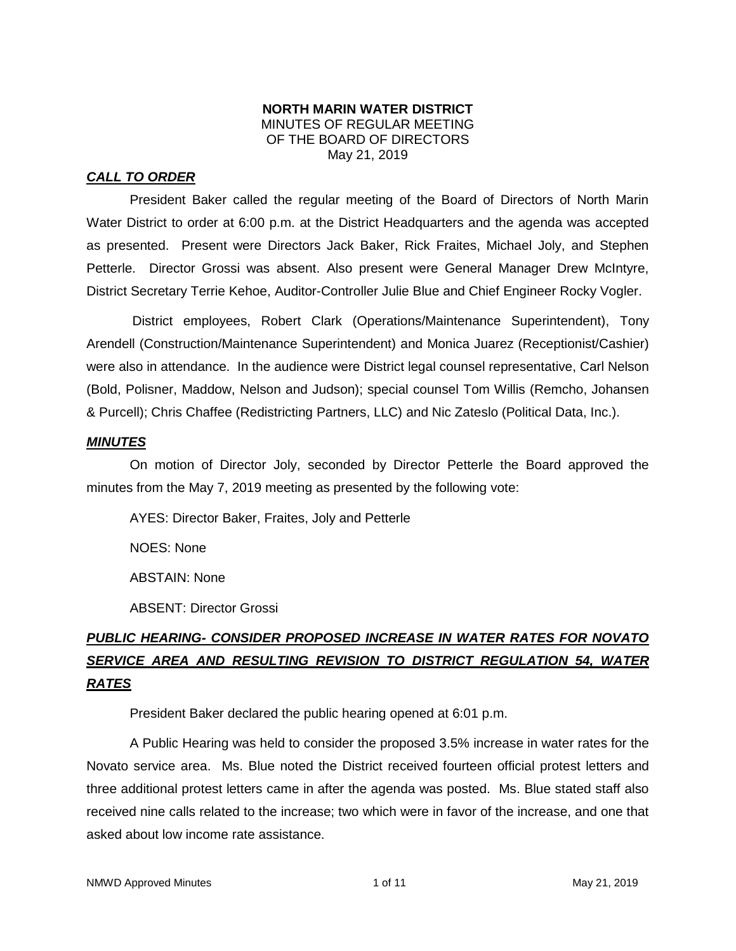### **NORTH MARIN WATER DISTRICT** MINUTES OF REGULAR MEETING OF THE BOARD OF DIRECTORS May 21, 2019

## *CALL TO ORDER*

President Baker called the regular meeting of the Board of Directors of North Marin Water District to order at 6:00 p.m. at the District Headquarters and the agenda was accepted as presented. Present were Directors Jack Baker, Rick Fraites, Michael Joly, and Stephen Petterle. Director Grossi was absent. Also present were General Manager Drew McIntyre, District Secretary Terrie Kehoe, Auditor-Controller Julie Blue and Chief Engineer Rocky Vogler.

District employees, Robert Clark (Operations/Maintenance Superintendent), Tony Arendell (Construction/Maintenance Superintendent) and Monica Juarez (Receptionist/Cashier) were also in attendance. In the audience were District legal counsel representative, Carl Nelson (Bold, Polisner, Maddow, Nelson and Judson); special counsel Tom Willis (Remcho, Johansen & Purcell); Chris Chaffee (Redistricting Partners, LLC) and Nic Zateslo (Political Data, Inc.).

### *MINUTES*

On motion of Director Joly, seconded by Director Petterle the Board approved the minutes from the May 7, 2019 meeting as presented by the following vote:

AYES: Director Baker, Fraites, Joly and Petterle

NOES: None

ABSTAIN: None

ABSENT: Director Grossi

# *PUBLIC HEARING- CONSIDER PROPOSED INCREASE IN WATER RATES FOR NOVATO SERVICE AREA AND RESULTING REVISION TO DISTRICT REGULATION 54, WATER RATES*

President Baker declared the public hearing opened at 6:01 p.m.

A Public Hearing was held to consider the proposed 3.5% increase in water rates for the Novato service area. Ms. Blue noted the District received fourteen official protest letters and three additional protest letters came in after the agenda was posted. Ms. Blue stated staff also received nine calls related to the increase; two which were in favor of the increase, and one that asked about low income rate assistance.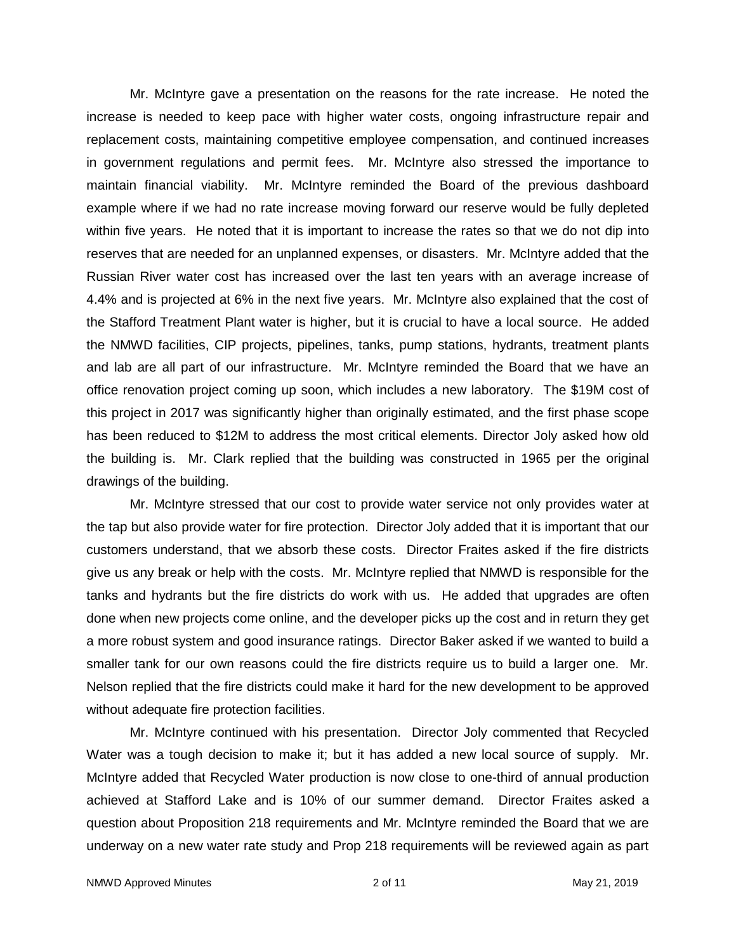Mr. McIntyre gave a presentation on the reasons for the rate increase. He noted the increase is needed to keep pace with higher water costs, ongoing infrastructure repair and replacement costs, maintaining competitive employee compensation, and continued increases in government regulations and permit fees. Mr. McIntyre also stressed the importance to maintain financial viability. Mr. McIntyre reminded the Board of the previous dashboard example where if we had no rate increase moving forward our reserve would be fully depleted within five years. He noted that it is important to increase the rates so that we do not dip into reserves that are needed for an unplanned expenses, or disasters. Mr. McIntyre added that the Russian River water cost has increased over the last ten years with an average increase of 4.4% and is projected at 6% in the next five years. Mr. McIntyre also explained that the cost of the Stafford Treatment Plant water is higher, but it is crucial to have a local source. He added the NMWD facilities, CIP projects, pipelines, tanks, pump stations, hydrants, treatment plants and lab are all part of our infrastructure. Mr. McIntyre reminded the Board that we have an office renovation project coming up soon, which includes a new laboratory. The \$19M cost of this project in 2017 was significantly higher than originally estimated, and the first phase scope has been reduced to \$12M to address the most critical elements. Director Joly asked how old the building is. Mr. Clark replied that the building was constructed in 1965 per the original drawings of the building.

Mr. McIntyre stressed that our cost to provide water service not only provides water at the tap but also provide water for fire protection. Director Joly added that it is important that our customers understand, that we absorb these costs. Director Fraites asked if the fire districts give us any break or help with the costs. Mr. McIntyre replied that NMWD is responsible for the tanks and hydrants but the fire districts do work with us. He added that upgrades are often done when new projects come online, and the developer picks up the cost and in return they get a more robust system and good insurance ratings. Director Baker asked if we wanted to build a smaller tank for our own reasons could the fire districts require us to build a larger one. Mr. Nelson replied that the fire districts could make it hard for the new development to be approved without adequate fire protection facilities.

Mr. McIntyre continued with his presentation. Director Joly commented that Recycled Water was a tough decision to make it; but it has added a new local source of supply. Mr. McIntyre added that Recycled Water production is now close to one-third of annual production achieved at Stafford Lake and is 10% of our summer demand. Director Fraites asked a question about Proposition 218 requirements and Mr. McIntyre reminded the Board that we are underway on a new water rate study and Prop 218 requirements will be reviewed again as part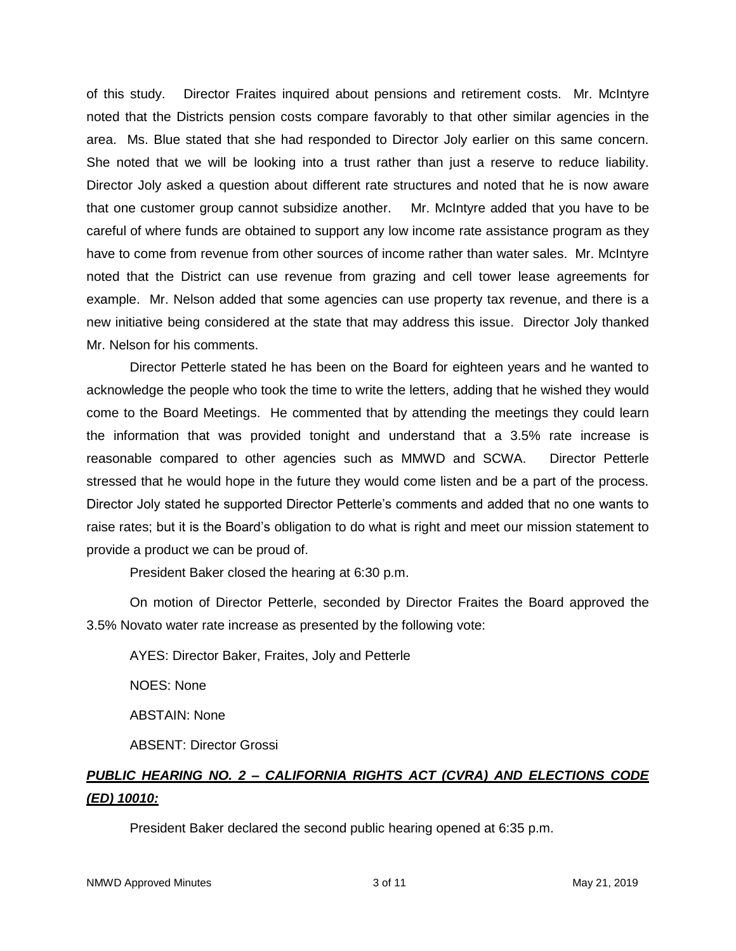of this study. Director Fraites inquired about pensions and retirement costs. Mr. McIntyre noted that the Districts pension costs compare favorably to that other similar agencies in the area. Ms. Blue stated that she had responded to Director Joly earlier on this same concern. She noted that we will be looking into a trust rather than just a reserve to reduce liability. Director Joly asked a question about different rate structures and noted that he is now aware that one customer group cannot subsidize another. Mr. McIntyre added that you have to be careful of where funds are obtained to support any low income rate assistance program as they have to come from revenue from other sources of income rather than water sales. Mr. McIntyre noted that the District can use revenue from grazing and cell tower lease agreements for example. Mr. Nelson added that some agencies can use property tax revenue, and there is a new initiative being considered at the state that may address this issue. Director Joly thanked Mr. Nelson for his comments.

Director Petterle stated he has been on the Board for eighteen years and he wanted to acknowledge the people who took the time to write the letters, adding that he wished they would come to the Board Meetings. He commented that by attending the meetings they could learn the information that was provided tonight and understand that a 3.5% rate increase is reasonable compared to other agencies such as MMWD and SCWA. Director Petterle stressed that he would hope in the future they would come listen and be a part of the process. Director Joly stated he supported Director Petterle's comments and added that no one wants to raise rates; but it is the Board's obligation to do what is right and meet our mission statement to provide a product we can be proud of.

President Baker closed the hearing at 6:30 p.m.

On motion of Director Petterle, seconded by Director Fraites the Board approved the 3.5% Novato water rate increase as presented by the following vote:

AYES: Director Baker, Fraites, Joly and Petterle NOES: None ABSTAIN: None ABSENT: Director Grossi

# *PUBLIC HEARING NO. 2 – CALIFORNIA RIGHTS ACT (CVRA) AND ELECTIONS CODE (ED) 10010:*

President Baker declared the second public hearing opened at 6:35 p.m.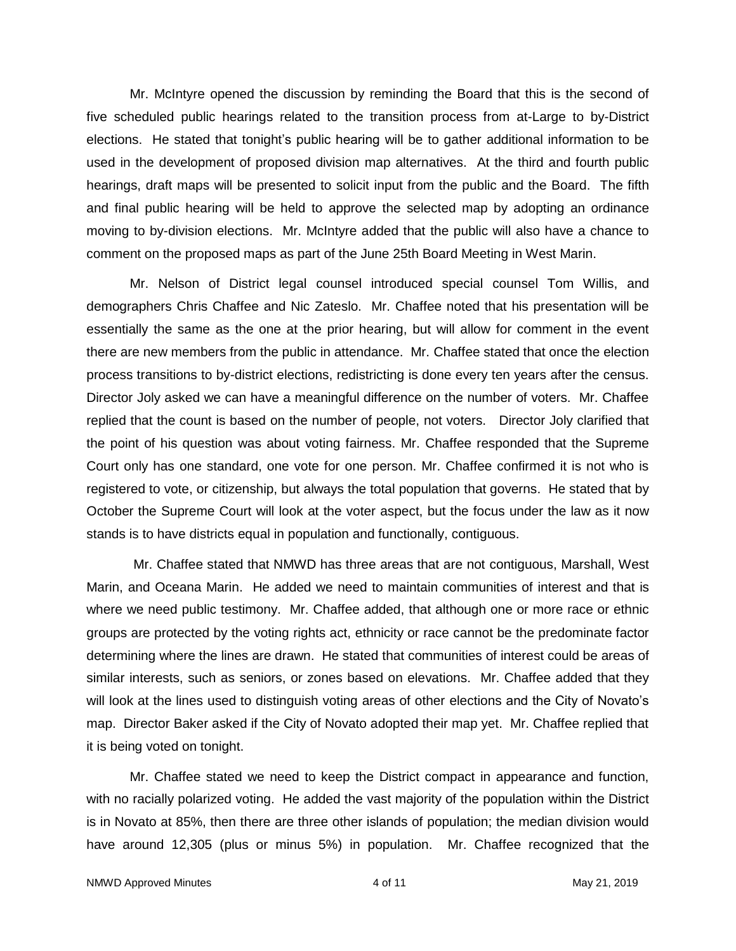Mr. McIntyre opened the discussion by reminding the Board that this is the second of five scheduled public hearings related to the transition process from at-Large to by-District elections. He stated that tonight's public hearing will be to gather additional information to be used in the development of proposed division map alternatives. At the third and fourth public hearings, draft maps will be presented to solicit input from the public and the Board. The fifth and final public hearing will be held to approve the selected map by adopting an ordinance moving to by-division elections. Mr. McIntyre added that the public will also have a chance to comment on the proposed maps as part of the June 25th Board Meeting in West Marin.

Mr. Nelson of District legal counsel introduced special counsel Tom Willis, and demographers Chris Chaffee and Nic Zateslo. Mr. Chaffee noted that his presentation will be essentially the same as the one at the prior hearing, but will allow for comment in the event there are new members from the public in attendance. Mr. Chaffee stated that once the election process transitions to by-district elections, redistricting is done every ten years after the census. Director Joly asked we can have a meaningful difference on the number of voters. Mr. Chaffee replied that the count is based on the number of people, not voters. Director Joly clarified that the point of his question was about voting fairness. Mr. Chaffee responded that the Supreme Court only has one standard, one vote for one person. Mr. Chaffee confirmed it is not who is registered to vote, or citizenship, but always the total population that governs. He stated that by October the Supreme Court will look at the voter aspect, but the focus under the law as it now stands is to have districts equal in population and functionally, contiguous.

Mr. Chaffee stated that NMWD has three areas that are not contiguous, Marshall, West Marin, and Oceana Marin. He added we need to maintain communities of interest and that is where we need public testimony. Mr. Chaffee added, that although one or more race or ethnic groups are protected by the voting rights act, ethnicity or race cannot be the predominate factor determining where the lines are drawn. He stated that communities of interest could be areas of similar interests, such as seniors, or zones based on elevations. Mr. Chaffee added that they will look at the lines used to distinguish voting areas of other elections and the City of Novato's map. Director Baker asked if the City of Novato adopted their map yet. Mr. Chaffee replied that it is being voted on tonight.

Mr. Chaffee stated we need to keep the District compact in appearance and function, with no racially polarized voting. He added the vast majority of the population within the District is in Novato at 85%, then there are three other islands of population; the median division would have around 12,305 (plus or minus 5%) in population. Mr. Chaffee recognized that the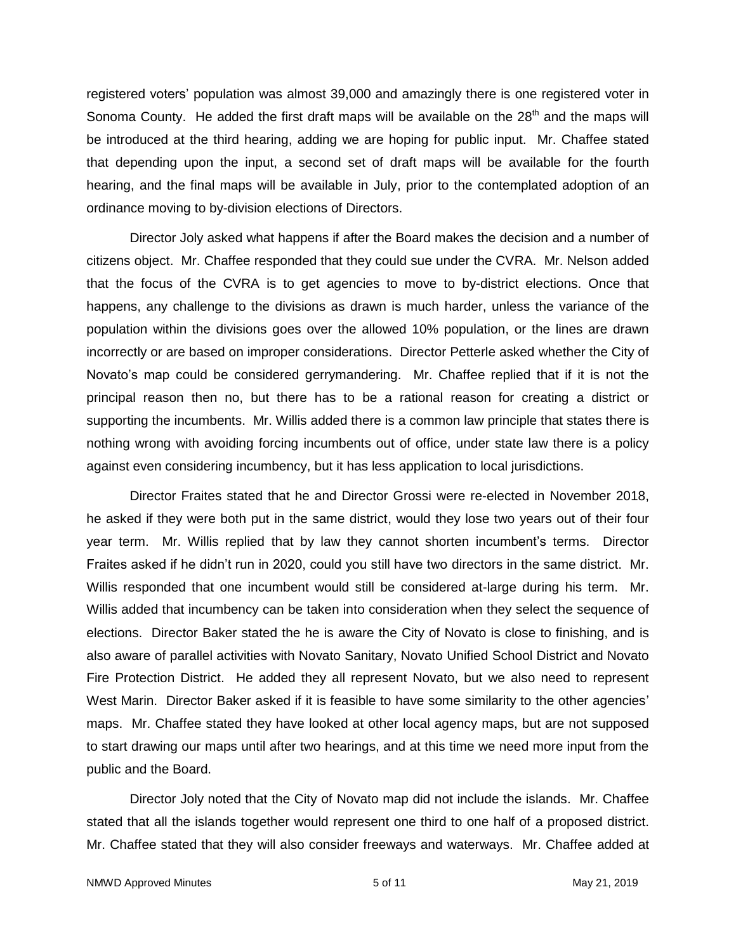registered voters' population was almost 39,000 and amazingly there is one registered voter in Sonoma County. He added the first draft maps will be available on the  $28<sup>th</sup>$  and the maps will be introduced at the third hearing, adding we are hoping for public input. Mr. Chaffee stated that depending upon the input, a second set of draft maps will be available for the fourth hearing, and the final maps will be available in July, prior to the contemplated adoption of an ordinance moving to by-division elections of Directors.

Director Joly asked what happens if after the Board makes the decision and a number of citizens object. Mr. Chaffee responded that they could sue under the CVRA. Mr. Nelson added that the focus of the CVRA is to get agencies to move to by-district elections. Once that happens, any challenge to the divisions as drawn is much harder, unless the variance of the population within the divisions goes over the allowed 10% population, or the lines are drawn incorrectly or are based on improper considerations. Director Petterle asked whether the City of Novato's map could be considered gerrymandering. Mr. Chaffee replied that if it is not the principal reason then no, but there has to be a rational reason for creating a district or supporting the incumbents. Mr. Willis added there is a common law principle that states there is nothing wrong with avoiding forcing incumbents out of office, under state law there is a policy against even considering incumbency, but it has less application to local jurisdictions.

Director Fraites stated that he and Director Grossi were re-elected in November 2018, he asked if they were both put in the same district, would they lose two years out of their four year term. Mr. Willis replied that by law they cannot shorten incumbent's terms. Director Fraites asked if he didn't run in 2020, could you still have two directors in the same district. Mr. Willis responded that one incumbent would still be considered at-large during his term. Mr. Willis added that incumbency can be taken into consideration when they select the sequence of elections. Director Baker stated the he is aware the City of Novato is close to finishing, and is also aware of parallel activities with Novato Sanitary, Novato Unified School District and Novato Fire Protection District. He added they all represent Novato, but we also need to represent West Marin. Director Baker asked if it is feasible to have some similarity to the other agencies' maps. Mr. Chaffee stated they have looked at other local agency maps, but are not supposed to start drawing our maps until after two hearings, and at this time we need more input from the public and the Board.

Director Joly noted that the City of Novato map did not include the islands. Mr. Chaffee stated that all the islands together would represent one third to one half of a proposed district. Mr. Chaffee stated that they will also consider freeways and waterways. Mr. Chaffee added at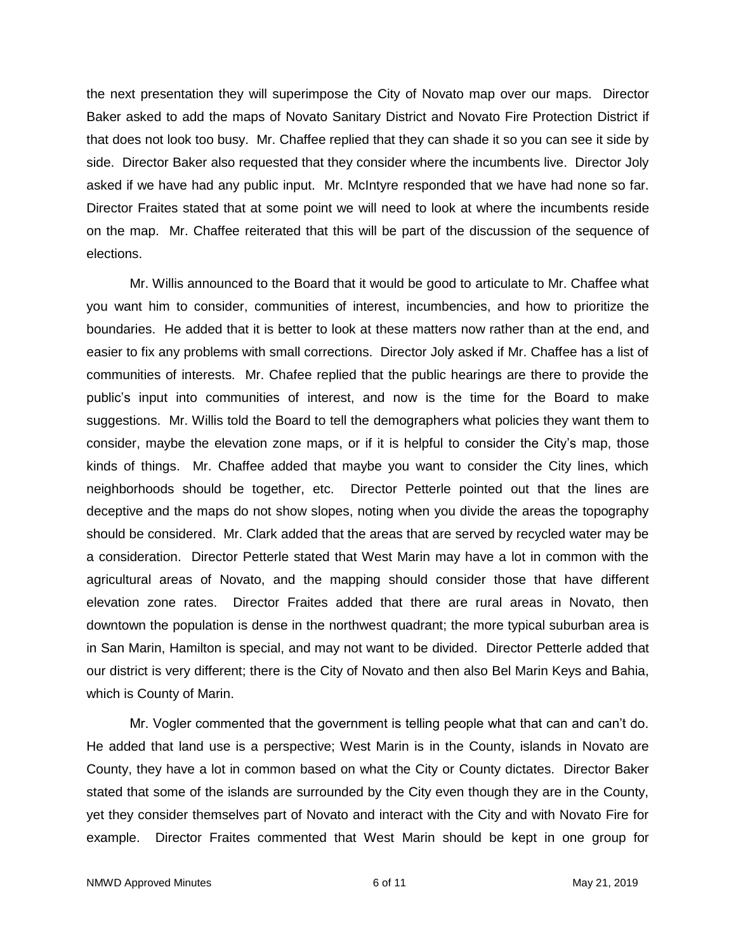the next presentation they will superimpose the City of Novato map over our maps. Director Baker asked to add the maps of Novato Sanitary District and Novato Fire Protection District if that does not look too busy. Mr. Chaffee replied that they can shade it so you can see it side by side. Director Baker also requested that they consider where the incumbents live. Director Joly asked if we have had any public input. Mr. McIntyre responded that we have had none so far. Director Fraites stated that at some point we will need to look at where the incumbents reside on the map. Mr. Chaffee reiterated that this will be part of the discussion of the sequence of elections.

Mr. Willis announced to the Board that it would be good to articulate to Mr. Chaffee what you want him to consider, communities of interest, incumbencies, and how to prioritize the boundaries. He added that it is better to look at these matters now rather than at the end, and easier to fix any problems with small corrections. Director Joly asked if Mr. Chaffee has a list of communities of interests. Mr. Chafee replied that the public hearings are there to provide the public's input into communities of interest, and now is the time for the Board to make suggestions. Mr. Willis told the Board to tell the demographers what policies they want them to consider, maybe the elevation zone maps, or if it is helpful to consider the City's map, those kinds of things. Mr. Chaffee added that maybe you want to consider the City lines, which neighborhoods should be together, etc. Director Petterle pointed out that the lines are deceptive and the maps do not show slopes, noting when you divide the areas the topography should be considered. Mr. Clark added that the areas that are served by recycled water may be a consideration. Director Petterle stated that West Marin may have a lot in common with the agricultural areas of Novato, and the mapping should consider those that have different elevation zone rates. Director Fraites added that there are rural areas in Novato, then downtown the population is dense in the northwest quadrant; the more typical suburban area is in San Marin, Hamilton is special, and may not want to be divided. Director Petterle added that our district is very different; there is the City of Novato and then also Bel Marin Keys and Bahia, which is County of Marin.

Mr. Vogler commented that the government is telling people what that can and can't do. He added that land use is a perspective; West Marin is in the County, islands in Novato are County, they have a lot in common based on what the City or County dictates. Director Baker stated that some of the islands are surrounded by the City even though they are in the County, yet they consider themselves part of Novato and interact with the City and with Novato Fire for example. Director Fraites commented that West Marin should be kept in one group for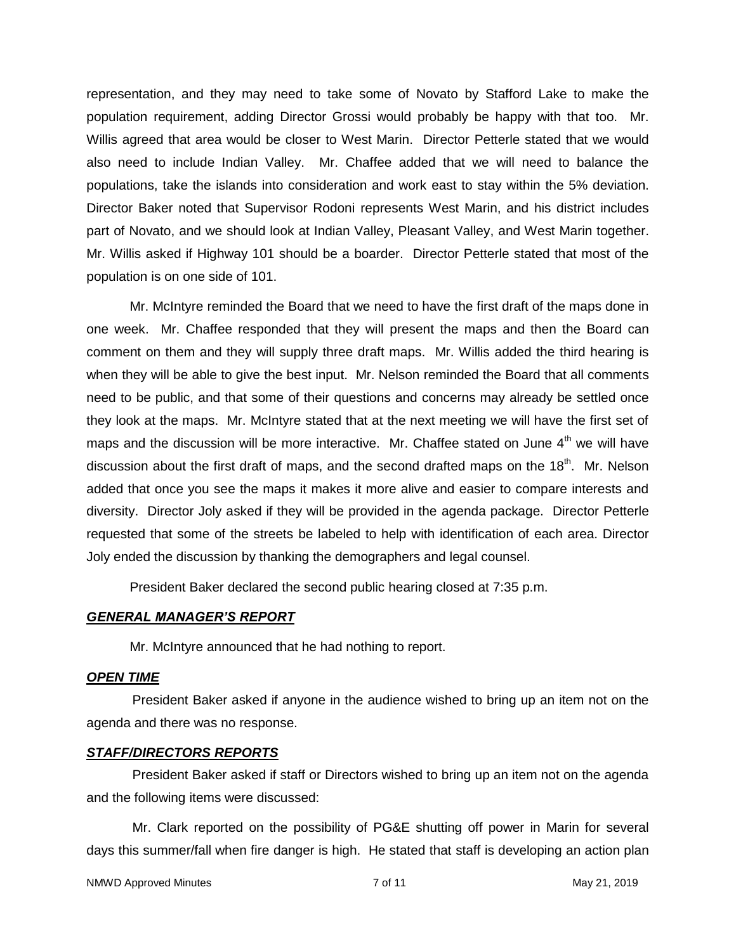representation, and they may need to take some of Novato by Stafford Lake to make the population requirement, adding Director Grossi would probably be happy with that too. Mr. Willis agreed that area would be closer to West Marin. Director Petterle stated that we would also need to include Indian Valley. Mr. Chaffee added that we will need to balance the populations, take the islands into consideration and work east to stay within the 5% deviation. Director Baker noted that Supervisor Rodoni represents West Marin, and his district includes part of Novato, and we should look at Indian Valley, Pleasant Valley, and West Marin together. Mr. Willis asked if Highway 101 should be a boarder. Director Petterle stated that most of the population is on one side of 101.

Mr. McIntyre reminded the Board that we need to have the first draft of the maps done in one week. Mr. Chaffee responded that they will present the maps and then the Board can comment on them and they will supply three draft maps. Mr. Willis added the third hearing is when they will be able to give the best input. Mr. Nelson reminded the Board that all comments need to be public, and that some of their questions and concerns may already be settled once they look at the maps. Mr. McIntyre stated that at the next meeting we will have the first set of maps and the discussion will be more interactive. Mr. Chaffee stated on June  $4<sup>th</sup>$  we will have discussion about the first draft of maps, and the second drafted maps on the  $18<sup>th</sup>$ . Mr. Nelson added that once you see the maps it makes it more alive and easier to compare interests and diversity. Director Joly asked if they will be provided in the agenda package. Director Petterle requested that some of the streets be labeled to help with identification of each area. Director Joly ended the discussion by thanking the demographers and legal counsel.

President Baker declared the second public hearing closed at 7:35 p.m.

### *GENERAL MANAGER'S REPORT*

Mr. McIntyre announced that he had nothing to report.

#### *OPEN TIME*

President Baker asked if anyone in the audience wished to bring up an item not on the agenda and there was no response.

#### *STAFF/DIRECTORS REPORTS*

President Baker asked if staff or Directors wished to bring up an item not on the agenda and the following items were discussed:

Mr. Clark reported on the possibility of PG&E shutting off power in Marin for several days this summer/fall when fire danger is high. He stated that staff is developing an action plan

```
NMWD Approved Minutes 7 of 11 May 21, 2019
```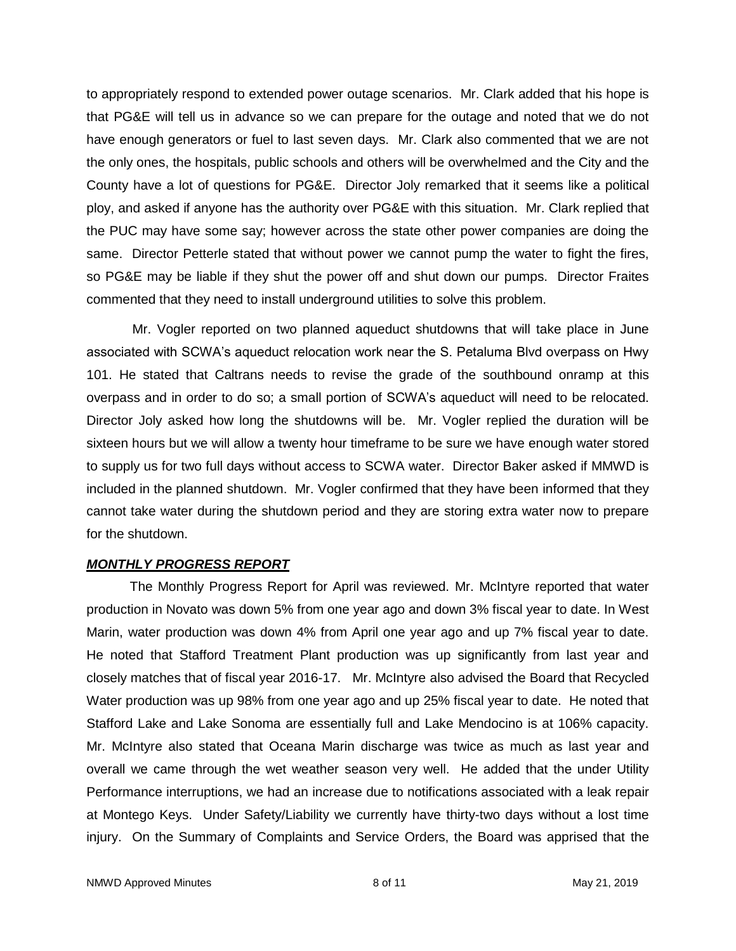to appropriately respond to extended power outage scenarios. Mr. Clark added that his hope is that PG&E will tell us in advance so we can prepare for the outage and noted that we do not have enough generators or fuel to last seven days. Mr. Clark also commented that we are not the only ones, the hospitals, public schools and others will be overwhelmed and the City and the County have a lot of questions for PG&E. Director Joly remarked that it seems like a political ploy, and asked if anyone has the authority over PG&E with this situation. Mr. Clark replied that the PUC may have some say; however across the state other power companies are doing the same. Director Petterle stated that without power we cannot pump the water to fight the fires, so PG&E may be liable if they shut the power off and shut down our pumps. Director Fraites commented that they need to install underground utilities to solve this problem.

Mr. Vogler reported on two planned aqueduct shutdowns that will take place in June associated with SCWA's aqueduct relocation work near the S. Petaluma Blvd overpass on Hwy 101. He stated that Caltrans needs to revise the grade of the southbound onramp at this overpass and in order to do so; a small portion of SCWA's aqueduct will need to be relocated. Director Joly asked how long the shutdowns will be. Mr. Vogler replied the duration will be sixteen hours but we will allow a twenty hour timeframe to be sure we have enough water stored to supply us for two full days without access to SCWA water. Director Baker asked if MMWD is included in the planned shutdown. Mr. Vogler confirmed that they have been informed that they cannot take water during the shutdown period and they are storing extra water now to prepare for the shutdown.

### *MONTHLY PROGRESS REPORT*

The Monthly Progress Report for April was reviewed. Mr. McIntyre reported that water production in Novato was down 5% from one year ago and down 3% fiscal year to date. In West Marin, water production was down 4% from April one year ago and up 7% fiscal year to date. He noted that Stafford Treatment Plant production was up significantly from last year and closely matches that of fiscal year 2016-17. Mr. McIntyre also advised the Board that Recycled Water production was up 98% from one year ago and up 25% fiscal year to date. He noted that Stafford Lake and Lake Sonoma are essentially full and Lake Mendocino is at 106% capacity. Mr. McIntyre also stated that Oceana Marin discharge was twice as much as last year and overall we came through the wet weather season very well. He added that the under Utility Performance interruptions, we had an increase due to notifications associated with a leak repair at Montego Keys. Under Safety/Liability we currently have thirty-two days without a lost time injury. On the Summary of Complaints and Service Orders, the Board was apprised that the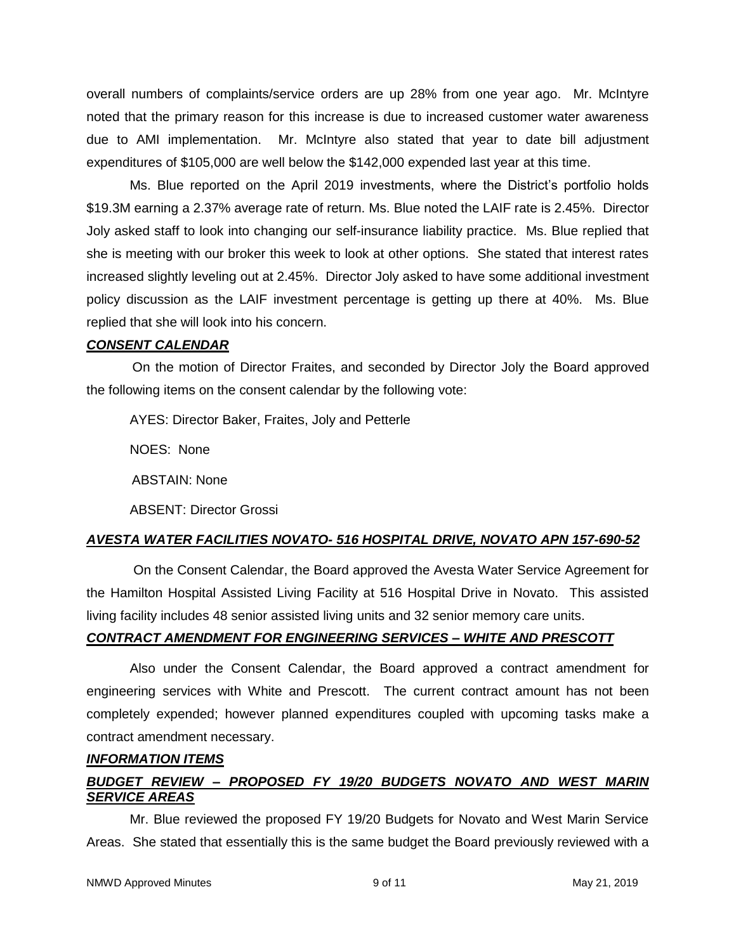overall numbers of complaints/service orders are up 28% from one year ago. Mr. McIntyre noted that the primary reason for this increase is due to increased customer water awareness due to AMI implementation. Mr. McIntyre also stated that year to date bill adjustment expenditures of \$105,000 are well below the \$142,000 expended last year at this time.

Ms. Blue reported on the April 2019 investments, where the District's portfolio holds \$19.3M earning a 2.37% average rate of return. Ms. Blue noted the LAIF rate is 2.45%. Director Joly asked staff to look into changing our self-insurance liability practice. Ms. Blue replied that she is meeting with our broker this week to look at other options. She stated that interest rates increased slightly leveling out at 2.45%. Director Joly asked to have some additional investment policy discussion as the LAIF investment percentage is getting up there at 40%. Ms. Blue replied that she will look into his concern.

### *CONSENT CALENDAR*

On the motion of Director Fraites, and seconded by Director Joly the Board approved the following items on the consent calendar by the following vote:

AYES: Director Baker, Fraites, Joly and Petterle NOES: None ABSTAIN: None ABSENT: Director Grossi

## *AVESTA WATER FACILITIES NOVATO- 516 HOSPITAL DRIVE, NOVATO APN 157-690-52*

On the Consent Calendar, the Board approved the Avesta Water Service Agreement for the Hamilton Hospital Assisted Living Facility at 516 Hospital Drive in Novato. This assisted living facility includes 48 senior assisted living units and 32 senior memory care units.

## *CONTRACT AMENDMENT FOR ENGINEERING SERVICES – WHITE AND PRESCOTT*

Also under the Consent Calendar, the Board approved a contract amendment for engineering services with White and Prescott. The current contract amount has not been completely expended; however planned expenditures coupled with upcoming tasks make a contract amendment necessary.

### *INFORMATION ITEMS*

# *BUDGET REVIEW – PROPOSED FY 19/20 BUDGETS NOVATO AND WEST MARIN SERVICE AREAS*

Mr. Blue reviewed the proposed FY 19/20 Budgets for Novato and West Marin Service Areas. She stated that essentially this is the same budget the Board previously reviewed with a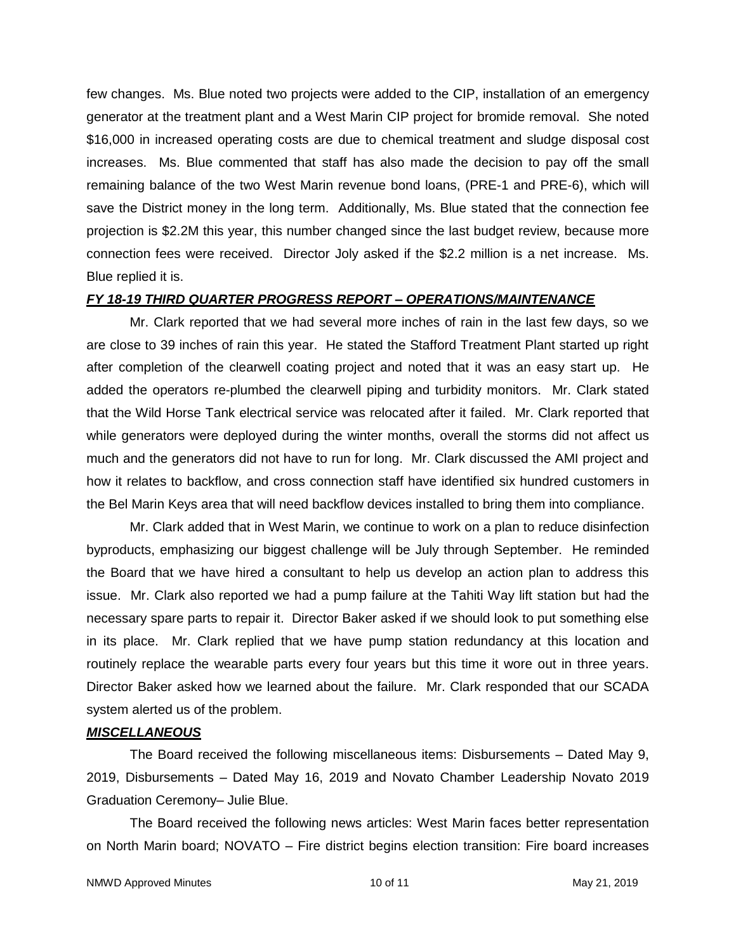few changes. Ms. Blue noted two projects were added to the CIP, installation of an emergency generator at the treatment plant and a West Marin CIP project for bromide removal. She noted \$16,000 in increased operating costs are due to chemical treatment and sludge disposal cost increases. Ms. Blue commented that staff has also made the decision to pay off the small remaining balance of the two West Marin revenue bond loans, (PRE-1 and PRE-6), which will save the District money in the long term. Additionally, Ms. Blue stated that the connection fee projection is \$2.2M this year, this number changed since the last budget review, because more connection fees were received. Director Joly asked if the \$2.2 million is a net increase. Ms. Blue replied it is.

#### *FY 18-19 THIRD QUARTER PROGRESS REPORT – OPERATIONS/MAINTENANCE*

Mr. Clark reported that we had several more inches of rain in the last few days, so we are close to 39 inches of rain this year. He stated the Stafford Treatment Plant started up right after completion of the clearwell coating project and noted that it was an easy start up. He added the operators re-plumbed the clearwell piping and turbidity monitors. Mr. Clark stated that the Wild Horse Tank electrical service was relocated after it failed. Mr. Clark reported that while generators were deployed during the winter months, overall the storms did not affect us much and the generators did not have to run for long. Mr. Clark discussed the AMI project and how it relates to backflow, and cross connection staff have identified six hundred customers in the Bel Marin Keys area that will need backflow devices installed to bring them into compliance.

Mr. Clark added that in West Marin, we continue to work on a plan to reduce disinfection byproducts, emphasizing our biggest challenge will be July through September. He reminded the Board that we have hired a consultant to help us develop an action plan to address this issue. Mr. Clark also reported we had a pump failure at the Tahiti Way lift station but had the necessary spare parts to repair it. Director Baker asked if we should look to put something else in its place. Mr. Clark replied that we have pump station redundancy at this location and routinely replace the wearable parts every four years but this time it wore out in three years. Director Baker asked how we learned about the failure. Mr. Clark responded that our SCADA system alerted us of the problem.

### *MISCELLANEOUS*

The Board received the following miscellaneous items: Disbursements – Dated May 9, 2019, Disbursements – Dated May 16, 2019 and Novato Chamber Leadership Novato 2019 Graduation Ceremony– Julie Blue.

The Board received the following news articles: West Marin faces better representation on North Marin board; NOVATO – Fire district begins election transition: Fire board increases